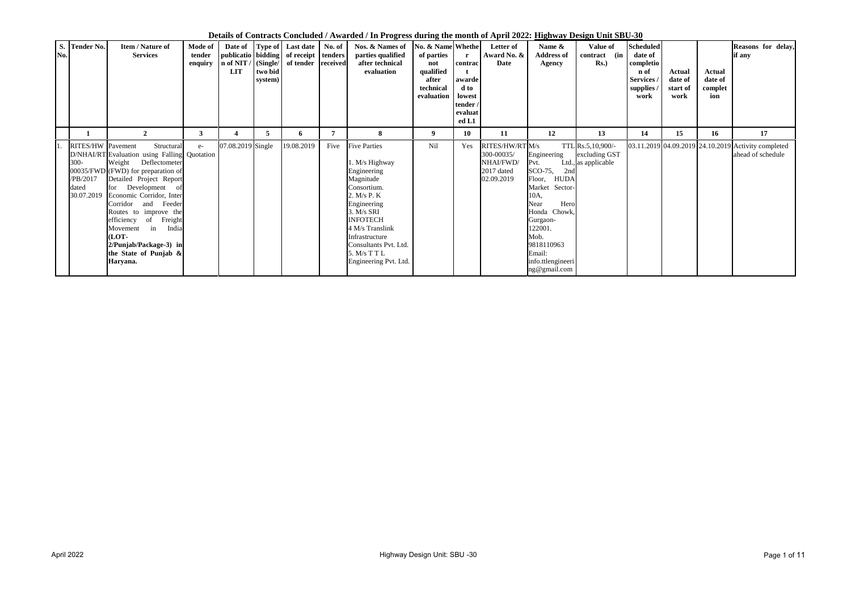| S. Tender No.<br>$\overline{\text{No}}$ .                      | Item / Nature of<br><b>Services</b>                                                                                                                                                                                                                                                                                                                                                           | Mode of<br>tender<br>enquiry | n of NIT /<br><b>LIT</b> | (Single/<br>two bid<br>system) | Date of Type of Last date<br>publicatio bidding of receipt<br>of tender | No. of<br>tenders<br>received | Nos. & Names of<br>parties qualified<br>after technical<br>evaluation                                                                                                                                                                                        | No. & Name Whethe<br>of parties<br>not<br>qualified<br>after<br>technical<br>evaluation | contrac<br>awarde<br>d to<br>lowest<br>tender /<br>evaluat<br>ed L1 | Letter of<br>Award No. &<br><b>Date</b>                                | Name &<br><b>Address of</b><br><b>Agency</b>                                                                                                                                                                         | Value of<br>contract (in<br>$Rs.$ )                        | <b>Scheduled</b><br>date of<br>completio<br>n of<br>Services<br>supplies<br>work | Actual<br>date of<br>start of<br>work | Actual<br>date of<br>complet<br>ion | Reasons for delay,<br>if any            |
|----------------------------------------------------------------|-----------------------------------------------------------------------------------------------------------------------------------------------------------------------------------------------------------------------------------------------------------------------------------------------------------------------------------------------------------------------------------------------|------------------------------|--------------------------|--------------------------------|-------------------------------------------------------------------------|-------------------------------|--------------------------------------------------------------------------------------------------------------------------------------------------------------------------------------------------------------------------------------------------------------|-----------------------------------------------------------------------------------------|---------------------------------------------------------------------|------------------------------------------------------------------------|----------------------------------------------------------------------------------------------------------------------------------------------------------------------------------------------------------------------|------------------------------------------------------------|----------------------------------------------------------------------------------|---------------------------------------|-------------------------------------|-----------------------------------------|
|                                                                | $\mathbf{2}$                                                                                                                                                                                                                                                                                                                                                                                  | $\mathbf{3}$                 | 4                        | C.                             | 6                                                                       | 7                             | 8                                                                                                                                                                                                                                                            | 9                                                                                       | <b>10</b>                                                           | 11                                                                     | 12                                                                                                                                                                                                                   | 13                                                         | 14                                                                               | 15                                    | 16                                  | 17                                      |
| RITES/HW Pavement<br>$300 -$<br>PB/2017<br>dated<br>30.07.2019 | Structural<br>D/NHAI/RT Evaluation using Falling Quotation<br>Weight Deflectometer<br>00035/FWD (FWD) for preparation of<br>Detailed Project Report<br>for Development<br>of<br>Economic Corridor, Inter<br>and Feeder<br>Corridor<br>Routes to improve the<br>Freight<br>efficiency<br>of<br>India<br>Movement<br>in<br>(LOT-<br>2/Punjab/Package-3) in<br>the State of Punjab &<br>Haryana. | $e-$                         | 07.08.2019 Single        |                                | 19.08.2019                                                              | Five                          | <b>Five Parties</b><br>1. M/s Highway<br>Engineering<br>Magnitude<br>Consortium.<br>2. $M/s$ P. $K$<br>Engineering<br>$3. M/s$ SRI<br><b>INFOTECH</b><br>4 M/s Translink<br>Infrastructure<br>Consultants Pvt. Ltd.<br>5. M/s T T L<br>Engineering Pvt. Ltd. | Nil                                                                                     | Yes                                                                 | RITES/HW/RT M/s<br>300-00035/<br>NHAI/FWD/<br>2017 dated<br>02.09.2019 | Engineering<br>Pvt.<br>SCO-75,<br>2nd<br>Floor,<br><b>HUDA</b><br>Market Sector-<br>10A,<br>Hero<br>Near<br>Honda Chowk,<br>Gurgaon-<br>122001.<br>Mob.<br>9818110963<br>Email:<br>info.ttlengineeri<br>ng@gmail.com | TTL Rs.5, 10,900/-<br>excluding GST<br>Ltd., as applicable |                                                                                  | 03.11.2019 04.09.2019 24.10.2019      |                                     | Activity completed<br>ahead of schedule |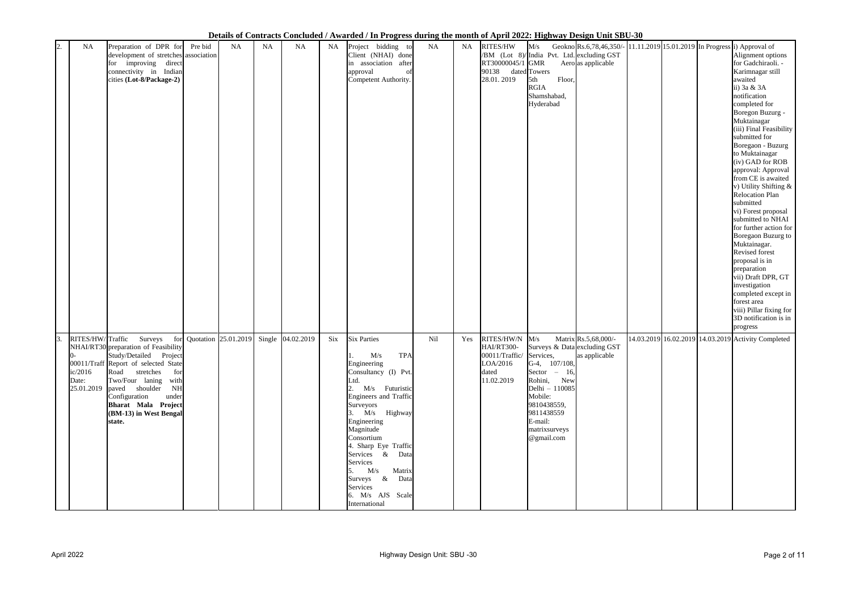|                                      |                                                                                                                                                                                                                                                                                                                                 |           |           |                   |     | Deans of Contracts Concluded? Tematica? In Frogress unring the month of Tiplin Form <u>ingiting? Design childbe co</u>                                                                                                                                                                                                                                   |     |           |                                                                                             |                                                                                                                                                                                    |                                       |                                                                                                                                                                                                                                                                                                                                                                                                                                                                                                                                                                                                                                                                                                                                                                            |
|--------------------------------------|---------------------------------------------------------------------------------------------------------------------------------------------------------------------------------------------------------------------------------------------------------------------------------------------------------------------------------|-----------|-----------|-------------------|-----|----------------------------------------------------------------------------------------------------------------------------------------------------------------------------------------------------------------------------------------------------------------------------------------------------------------------------------------------------------|-----|-----------|---------------------------------------------------------------------------------------------|------------------------------------------------------------------------------------------------------------------------------------------------------------------------------------|---------------------------------------|----------------------------------------------------------------------------------------------------------------------------------------------------------------------------------------------------------------------------------------------------------------------------------------------------------------------------------------------------------------------------------------------------------------------------------------------------------------------------------------------------------------------------------------------------------------------------------------------------------------------------------------------------------------------------------------------------------------------------------------------------------------------------|
| 2.<br>NA                             | Preparation of DPR for<br>Pre bid<br>development of stretches association<br>for improving direct<br>connectivity in Indian<br>cities (Lot-8/Package-2)                                                                                                                                                                         | <b>NA</b> | <b>NA</b> | <b>NA</b>         | NA  | Project bidding to<br>Client (NHAI) done<br>in association after<br>approval<br>of<br>Competent Authority.                                                                                                                                                                                                                                               | NA  | <b>NA</b> | RITES/HW<br>RT30000045/1 GMR<br>90138 dated Towers<br>28.01.2019                            | /BM (Lot 8)/India Pvt. Ltd. excluding GST<br>Floor,<br>5th<br><b>RGIA</b><br>Shamshabad,<br>Hyderabad                                                                              | Aero as applicable                    | $M/s$ Geokno Rs.6,78,46,350/- 11.11.2019 15.01.2019 In Progress i) Approval of<br>Alignment options<br>for Gadchiraoli. -<br>Karimnagar still<br>awaited<br>ii) 3a & 3A<br>notification<br>completed for<br>Boregon Buzurg -<br>Muktainagar<br>(iii) Final Feasibility<br>submitted for<br>Boregaon - Buzurg<br>to Muktainagar<br>(iv) GAD for ROB<br>approval: Approval<br>from CE is awaited<br>v) Utility Shifting &<br><b>Relocation Plan</b><br>submitted<br>vi) Forest proposal<br>submitted to NHAI<br>for further action for<br>Boregaon Buzurg to<br>Muktainagar.<br>Revised forest<br>proposal is in<br>preparation<br>vii) Draft DPR, GT<br>investigation<br>completed except in<br>forest area<br>viii) Pillar fixing for<br>3D notification is in<br>progress |
| 3.<br>ic/2016<br>Date:<br>25.01.2019 | Surveys<br>RITES/HW/Traffic<br>for Quotation 25.01.2019<br>NHAI/RT30 preparation of Feasibility<br>Study/Detailed Project<br>00011/Traff Report of selected State<br>Road<br>stretches<br>for<br>Two/Four laning with<br>paved shoulder NH<br>Configuration<br>under<br>Bharat Mala Project<br>(BM-13) in West Bengal<br>state. |           |           | Single 04.02.2019 | Six | <b>Six Parties</b><br><b>TPA</b><br>M/s<br>Engineering<br>Consultancy (I) Pvt.<br>Ltd.<br>2. M/s Futuristic<br>Engineers and Traffic<br>Surveyors<br>3. M/s Highway<br>Engineering<br>Magnitude<br>Consortium<br>4. Sharp Eye Traffic<br>Services & Data<br>Services<br>5. M/s Matrix<br>Surveys & Data<br>Services<br>6. M/s AJS Scale<br>International | Nil | Yes       | RITES/HW/N M/s<br>HAI/RT300-<br>00011/Traffic/ Services,<br>LOA/2016<br>dated<br>11.02.2019 | Surveys & Data excluding GST<br>G-4, 107/108,<br>Sector $-16$ ,<br>Rohini, New<br>Delhi - 110085<br>Mobile:<br>9810438559,<br>9811438559<br>E-mail:<br>matrixsurveys<br>@gmail.com | Matrix Rs.5,68,000/-<br>as applicable | 14.03.2019 16.02.2019 14.03.2019 Activity Completed                                                                                                                                                                                                                                                                                                                                                                                                                                                                                                                                                                                                                                                                                                                        |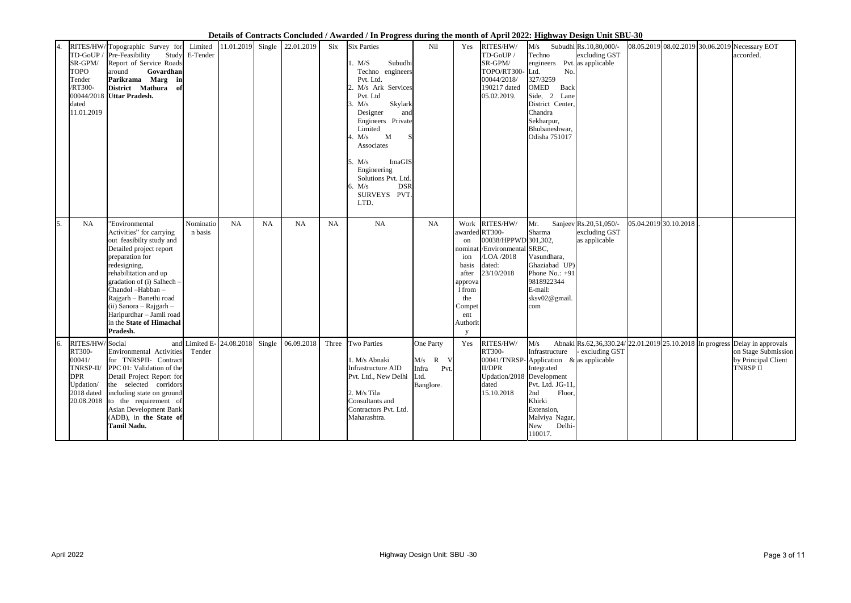| 4. | SR-GPM/<br><b>TOPO</b><br>Tender<br><b>RT300-</b><br>dated<br>11.01.2019 | RITES/HW/Topographic Survey for<br>TD-GoUP / Pre-Feasibility<br>Report of Service Roads<br>Govardhan<br>around<br>Parikrama Marg in<br>District Mathura<br>-of<br>00044/2018 Uttar Pradesh.                                                                                                                                               | Limited<br>Study E-Tender |                           |           | 11.01.2019 Single 22.01.2019 | Six   | <b>Six Parties</b><br>Subudhi<br>M/S<br>Techno engineers<br>Pvt. Ltd.<br>M/s Ark Services<br>Pvt. Ltd<br>Skylark<br>M/s<br>Designer<br>and<br>Engineers Private<br>Limited<br>$\mathbf{M}$<br>M/s<br>Associates<br>ImaGIS<br>M/s<br>Engineering<br>Solutions Pvt. Ltd.<br><b>DSR</b><br>6. $M/s$<br>SURVEYS PVT.<br>LTD. | Nil                                               | Yes                                                                                               | RITES/HW/<br>TD-GoUP /<br>SR-GPM/<br>TOPO/RT300-<br>00044/2018/<br>190217 dated<br>05.02.2019.                             | M/s<br>Techno<br>engineers Pvt. as applicable<br>No.<br>Ltd.<br>327/3259<br><b>OMED</b><br>Back<br>Side, 2 Lane<br>District Center<br>Chandra<br>Sekharpur,<br>Bhubaneshwar,<br>Odisha 751017 | Subudhi Rs.10,80,000/-<br>excluding GST                  | 08.05.2019 08.02.2019 30.06.2019 Necessary EOT           | accorded.                                                                           |
|----|--------------------------------------------------------------------------|-------------------------------------------------------------------------------------------------------------------------------------------------------------------------------------------------------------------------------------------------------------------------------------------------------------------------------------------|---------------------------|---------------------------|-----------|------------------------------|-------|--------------------------------------------------------------------------------------------------------------------------------------------------------------------------------------------------------------------------------------------------------------------------------------------------------------------------|---------------------------------------------------|---------------------------------------------------------------------------------------------------|----------------------------------------------------------------------------------------------------------------------------|-----------------------------------------------------------------------------------------------------------------------------------------------------------------------------------------------|----------------------------------------------------------|----------------------------------------------------------|-------------------------------------------------------------------------------------|
| 5. | <b>NA</b>                                                                | 'Environmental<br>Activities" for carrying<br>out feasibilty study and<br>Detailed project report<br>preparation for<br>redesigning,<br>rehabilitation and up<br>gradation of (i) Salhech -<br>Chandol-Habban-<br>Rajgarh - Banethi road<br>$(ii)$ Sanora - Rajgarh -<br>Haripurdhar - Jamli road<br>in the State of Himachal<br>Pradesh. | Nominatio<br>n basis      | <b>NA</b>                 | <b>NA</b> | <b>NA</b>                    | NA    | <b>NA</b>                                                                                                                                                                                                                                                                                                                | NA                                                | Work<br>on<br>ion<br>basis<br>after<br>approva<br>1 from<br>the<br>Compet<br>ent<br>Authorit<br>y | RITES/HW/<br>awarded RT300-<br>00038/HPPWD 301,302,<br>nominat //Environmental SRBC,<br>/LOA /2018<br>dated:<br>23/10/2018 | Mr.<br>Sharma<br>Vasundhara,<br>Ghaziabad UP)<br>Phone No.: $+91$<br>9818922344<br>E-mail:<br>sksv02@gmail<br>com                                                                             | Sanjeev Rs.20,51,050/-<br>excluding GST<br>as applicable | 05.04.2019 30.10.2018                                    |                                                                                     |
| 6. | RITES/HW/Social<br>RT300-<br>00041/<br><b>DPR</b><br>Updation/           | Environmental Activities<br>for TNRSPII- Contract<br>TNRSP-II/ PPC 01: Validation of the<br>Detail Project Report for<br>the selected corridors<br>2018 dated including state on ground<br>$[20.08.2018]$ to the requirement of<br>Asian Development Bank<br>(ADB), in the State of<br><b>Tamil Nadu.</b>                                 | Tender                    | and Limited E- 24.08.2018 |           | Single 06.09.2018            | Three | <b>Two Parties</b><br>1. M/s Abnaki<br>Infrastructure AID<br>Pvt. Ltd., New Delhi Ltd.<br>2. M/s Tila<br>Consultants and<br>Contractors Pvt. Ltd.<br>Maharashtra.                                                                                                                                                        | One Party<br>$M/s$ R V<br>Infra Pvt.<br>Banglore. | Yes                                                                                               | RITES/HW/<br>RT300-<br><b>II/DPR</b><br>Updation/2018 Development<br>dated<br>15.10.2018                                   | M/s<br>Infrastructure<br>$ 00041/TNRSP -$ Application & as applicable<br>Integrated<br>Pvt. Ltd. JG-11,<br>2nd<br>Floor,<br>Khirki<br>Extension,<br>Malviya Nagar,<br>New Delhi-<br>110017.   | - excluding GST                                          | Abnaki Rs.62,36,330.24/22.01.2019 25.10.2018 In progress | Delay in approvals<br>on Stage Submission<br>by Principal Client<br><b>TNRSP II</b> |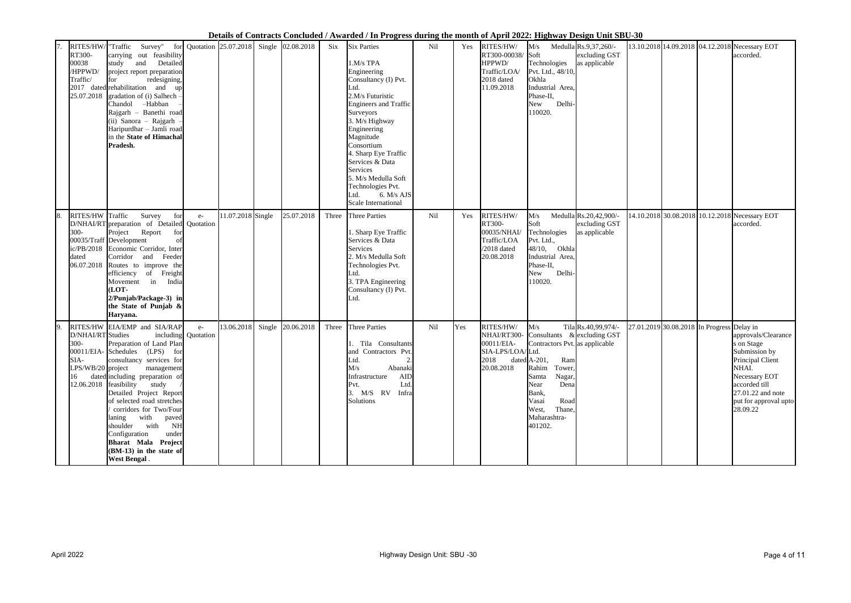| 7. | RT300-<br>00038<br>/HPPWD/<br>Traffic/<br>25.07.2018 | RITES/HW/ "Traffic Survey"<br>for Quotation 25.07.2018 Single 02.08.2018<br>carrying out feasibility<br>and Detailed<br>study<br>project report preparation<br>redesigning,<br>for<br>2017 dated rehabilitation and<br>up<br>gradation of (i) Salhech -<br>Chandol -Habban<br>Rajgarh - Banethi road<br>(ii) Sanora - Rajgarh -<br>Haripurdhar - Jamli road<br>in the State of Himachal<br>Pradesh.                                                                                    |                   |                   | Six   | <b>Six Parties</b><br>1.M/s TPA<br>Engineering<br>Consultancy (I) Pvt.<br>Ltd.<br>2.M/s Futuristic<br><b>Engineers and Traffic</b><br>Surveyors<br>3. M/s Highway<br>Engineering<br>Magnitude<br>Consortium<br>4. Sharp Eye Traffic<br>Services & Data<br><b>Services</b><br>5. M/s Medulla Soft<br>Technologies Pvt.<br>6. M/s AJS<br>Ltd.<br><b>Scale International</b> | Nil             | Yes | RITES/HW/<br>RT300-00038/<br>HPPWD/<br>Traffic/LOA/<br>2018 dated<br>11.09.2018  | M/s<br>Soft<br>Technologies<br>Pvt. Ltd., 48/10,<br>Okhla<br>Industrial Area,<br>Phase-II,<br>Delhi-<br>New<br>110020.                                                                                                        | Medulla Rs.9,37,260/-<br>excluding GST<br>as applicable  | 13.10.2018 14.09.2018 04.12.2018 Necessary EOT | accorded.                                                                                                                                                                   |
|----|------------------------------------------------------|----------------------------------------------------------------------------------------------------------------------------------------------------------------------------------------------------------------------------------------------------------------------------------------------------------------------------------------------------------------------------------------------------------------------------------------------------------------------------------------|-------------------|-------------------|-------|---------------------------------------------------------------------------------------------------------------------------------------------------------------------------------------------------------------------------------------------------------------------------------------------------------------------------------------------------------------------------|-----------------|-----|----------------------------------------------------------------------------------|-------------------------------------------------------------------------------------------------------------------------------------------------------------------------------------------------------------------------------|----------------------------------------------------------|------------------------------------------------|-----------------------------------------------------------------------------------------------------------------------------------------------------------------------------|
| 8. | RITES/HW Traffic<br>300-<br>dated<br>06.07.2018      | for<br>Survey<br>$e-$<br>D/NHAI/RT preparation of Detailed Quotation<br>Report<br>Project<br>for<br>00035/Traff Development<br>of<br>ic/PB/2018 Economic Corridor, Inter<br>Corridor and<br>Feeder<br>Routes to improve the<br>efficiency of Freight<br>India<br>Movement in<br>(LOT-<br>2/Punjab/Package-3) in<br>the State of Punjab &<br>Haryana.                                                                                                                                   | 11.07.2018 Single | 25.07.2018        | Three | <b>Three Parties</b><br>1. Sharp Eye Traffic<br>Services & Data<br>Services<br>2. M/s Medulla Soft<br>Technologies Pvt.<br>Ltd.<br>3. TPA Engineering<br>Consultancy (I) Pvt.<br>Ltd.                                                                                                                                                                                     | N <sub>il</sub> | Yes | RITES/HW/<br>RT300-<br>00035/NHAI/<br>Traffic/LOA<br>$/2018$ dated<br>20.08.2018 | M/s<br>Soft<br>Technologies<br>Pvt. Ltd.,<br>48/10, Okhla<br>Industrial Area,<br>Phase-II,<br>Delhi-<br>New<br>110020.                                                                                                        | Medulla Rs.20,42,900/-<br>excluding GST<br>as applicable | 14.10.2018 30.08.2018 10.12.2018 Necessary EOT | accorded.                                                                                                                                                                   |
| 9. | D/NHAI/RT Studies<br>$300 -$<br>SIA-<br>16           | RITES/HW EIA/EMP and SIA/RAP<br>$e-$<br>including Quotation<br>Preparation of Land Plan<br>00011/EIA-Schedules (LPS) for<br>consultancy services for<br>LPS/WB/20 project management<br>dated including preparation of<br>12.06.2018 feasibility study<br>Detailed Project Report<br>of selected road stretches<br>corridors for Two/Four<br>laning with paved<br>shoulder with NH<br>Configuration<br>under<br>Bharat Mala Project<br>(BM-13) in the state of<br><b>West Bengal</b> . | 13.06.2018        | Single 20.06.2018 | Three | <b>Three Parties</b><br>. Tila Consultants<br>and Contractors Pvt.<br>Ltd.<br>$\Omega$<br>M/s<br>Abanaki<br>AID<br>Infrastructure<br>Ltd.<br>Pvt.<br>3. M/S RV Infra<br>Solutions                                                                                                                                                                                         | N <sub>il</sub> | Yes | RITES/HW/<br>NHAI/RT300-<br>00011/EIA-<br>SIA-LPS/LOA/Ltd.<br>20.08.2018         | M/s<br>Consultants & excluding GST<br>Contractors Pvt. as applicable<br>$2018$ dated A-201, Ram<br>Rahim<br>Tower,<br>Nagar,<br>Samta<br>Near<br>Dena<br>Bank,<br>Road<br>Vasai<br>Thane,<br>West,<br>Maharashtra-<br>401202. | Tila Rs.40,99,974/-                                      | 27.01.2019 30.08.2018 In Progress Delay in     | approvals/Clearance<br>s on Stage<br>Submission by<br>Principal Client<br>NHAI.<br>Necessary EOT<br>accorded till<br>27.01.22 and note<br>put for approval upto<br>28.09.22 |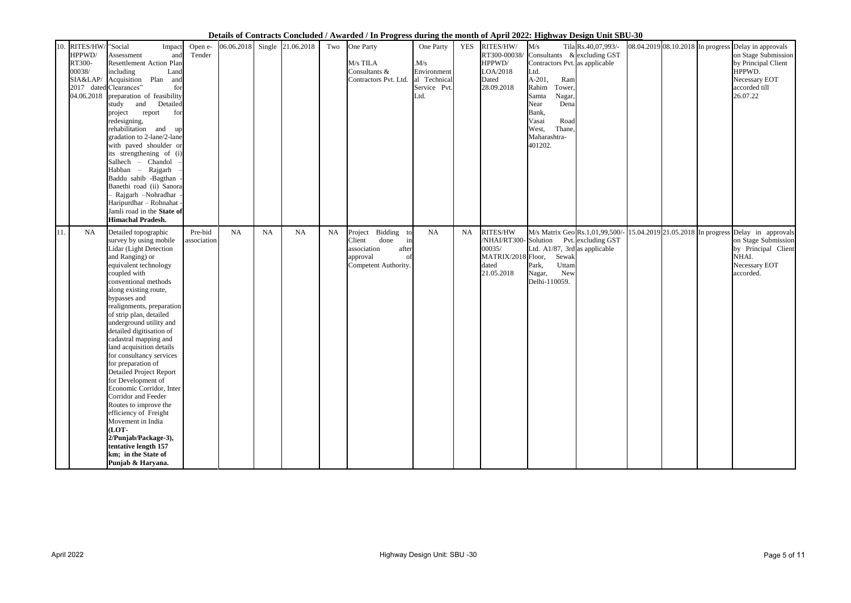| 10. | RITES/HW/ "Social<br>HPPWD/<br>RT300-<br>00038/<br>SIA&LAP/<br>04.06.2018 | Impact<br>Assessment<br>and<br><b>Resettlement Action Plan</b><br>including<br>Land<br>Acquisition Plan<br>and<br>2017 dated Clearances"<br>for<br>preparation of feasibility<br>Detailed<br>and<br>study<br>for<br>project<br>report<br>redesigning,<br>rehabilitation and<br>up<br>gradation to 2-lane/2-lane<br>with paved shoulder or<br>its strengthening of (i)<br>Salhech - Chandol<br>Habban - Rajgarh<br>Baddu sahib -Bagthan<br>Banethi road (ii) Sanora<br>Rajgarh -Nohradhar<br>Haripurdhar - Rohnahat -<br>Jamli road in the State of<br><b>Himachal Pradesh.</b>                                                                                                                                     | Open e-<br>Tender      | 06.06.2018 |           | Single 21.06.2018 | Two       | One Party<br>M/s TILA<br>Consultants &<br>Contractors Pvt. Ltd.                                                  | One Party<br>M/s<br>Environment<br>al Technical<br>Service Pvt.<br>Ltd. | <b>YES</b> | RITES/HW/<br>RT300-00038/<br>HPPWD/<br>LOA/2018<br>Dated<br>28.09.2018                  | M/s<br>Consultants & excluding GST<br>Contractors Pvt. as applicable<br>Ltd.<br>A-201,<br>Ram<br>Rahim<br>Tower,<br>Nagar,<br>Samta<br>Dena<br>Near<br>Bank,<br>Road<br>Vasai<br>Thane,<br>West,<br>Maharashtra-<br>401202. | Tila Rs.40,07,993/-                                   |                                     | 08.04.2019 08.10.2018 In progress Delay in approvals<br>on Stage Submission<br>by Principal Client<br>HPPWD.<br>Necessary EOT<br>accorded till<br>26.07.22 |
|-----|---------------------------------------------------------------------------|--------------------------------------------------------------------------------------------------------------------------------------------------------------------------------------------------------------------------------------------------------------------------------------------------------------------------------------------------------------------------------------------------------------------------------------------------------------------------------------------------------------------------------------------------------------------------------------------------------------------------------------------------------------------------------------------------------------------|------------------------|------------|-----------|-------------------|-----------|------------------------------------------------------------------------------------------------------------------|-------------------------------------------------------------------------|------------|-----------------------------------------------------------------------------------------|-----------------------------------------------------------------------------------------------------------------------------------------------------------------------------------------------------------------------------|-------------------------------------------------------|-------------------------------------|------------------------------------------------------------------------------------------------------------------------------------------------------------|
| 11. | <b>NA</b>                                                                 | Detailed topographic<br>survey by using mobile<br>Lidar (Light Detection<br>and Ranging) or<br>equivalent technology<br>coupled with<br>conventional methods<br>along existing route,<br>bypasses and<br>realignments, preparation<br>of strip plan, detailed<br>underground utility and<br>detailed digitisation of<br>cadastral mapping and<br>land acquisition details<br>for consultancy services<br>for preparation of<br><b>Detailed Project Report</b><br>for Development of<br>Economic Corridor, Inter<br>Corridor and Feeder<br>Routes to improve the<br>efficiency of Freight<br>Movement in India<br>(LOT-<br>2/Punjab/Package-3),<br>tentative length 157<br>km; in the State of<br>Punjab & Haryana. | Pre-bid<br>association | <b>NA</b>  | <b>NA</b> | NA                | <b>NA</b> | Project Bidding<br>t.c<br>Client<br>done<br>in<br>association<br>after<br>approval<br>of<br>Competent Authority. | NA                                                                      | <b>NA</b>  | RITES/HW<br>/NHAI/RT300-Solution<br>00035/<br>MATRIX/2018 Floor,<br>dated<br>21.05.2018 | Ltd. A $1/87$ , 3rd as applicable<br>Sewak<br>Uttam<br>Park,<br>New<br>Nagar,<br>Delhi-110059.                                                                                                                              | M/s Matrix Geo Rs.1,01,99,500/-<br>Pvt. excluding GST | $15.04.2019$ 21.05.2018 In progress | Delay in approvals<br>on Stage Submission<br>by Principal Client<br>NHAI.<br>Necessary EOT<br>accorded.                                                    |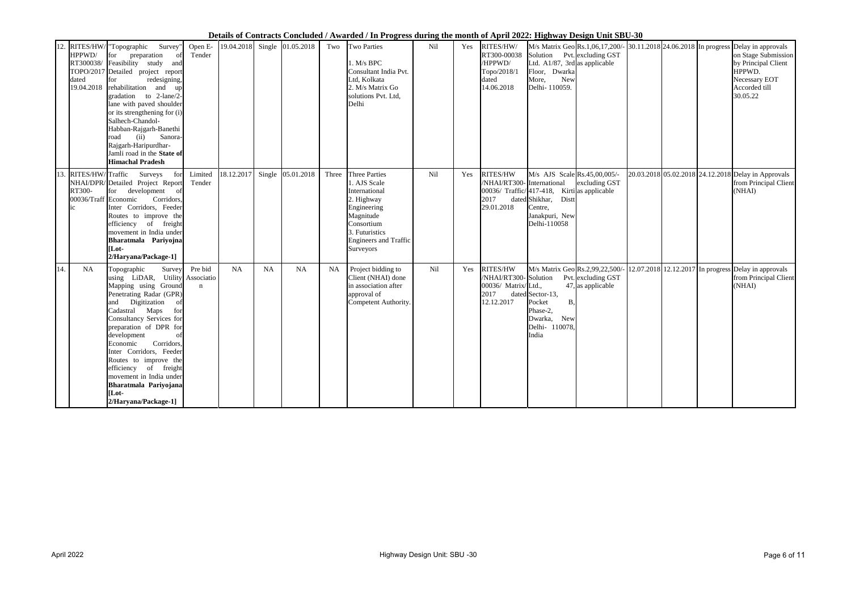|     | HPPWD/<br>RT300038/<br>TOPO/2017<br>dated<br>19.04.2018 | 12. RITES/HW/ "Topographic<br>Survey"<br>preparation<br>for<br>of<br>Feasibility study and<br>Detailed project report<br>redesigning,<br>for<br>rehabilitation and up<br>gradation to 2-lane/2-<br>lane with paved shoulder<br>or its strengthening for (i)<br>Salhech-Chandol-<br>Habban-Rajgarh-Banethi<br>(ii)<br>Sanora-<br>road<br>Rajgarh-Haripurdhar-<br>Jamli road in the State of<br><b>Himachal Pradesh</b>      | Open E-<br>Tender                    | 19.04.2018 |        | Single 01.05.2018 | Two   | <b>Two Parties</b><br>1. M/s BPC<br>Consultant India Pvt.<br>Ltd, Kolkata<br>2. M/s Matrix Go<br>solutions Pvt. Ltd,<br>Delhi                                         | Nil | Yes | RITES/HW/<br>RT300-00038<br>/HPPWD/<br>Topo/2018/1<br>dated<br>14.06.2018     | M/s Matrix Geo Rs.1,06,17,200/- 30.11.2018 24.06.2018 In progress<br>Solution Pvt. excluding GST<br>Ltd. $A1/87$ , 3rd as applicable<br>Floor, Dwarka<br>More,<br>New<br>Delhi- 110059. |               |  | Delay in approvals<br>on Stage Submission<br>by Principal Client<br>HPPWD.<br>Necessary EOT<br>Accorded till<br>30.05.22 |
|-----|---------------------------------------------------------|----------------------------------------------------------------------------------------------------------------------------------------------------------------------------------------------------------------------------------------------------------------------------------------------------------------------------------------------------------------------------------------------------------------------------|--------------------------------------|------------|--------|-------------------|-------|-----------------------------------------------------------------------------------------------------------------------------------------------------------------------|-----|-----|-------------------------------------------------------------------------------|-----------------------------------------------------------------------------------------------------------------------------------------------------------------------------------------|---------------|--|--------------------------------------------------------------------------------------------------------------------------|
| 13. | RITES/HW/Traffic<br>RT300-<br>00036/Traff<br>$i$ c      | Surveys for<br>NHAI/DPR/Detailed Project Report<br>development of<br>for<br>Economic<br>Corridors,<br>Inter Corridors, Feeder<br>Routes to improve the<br>efficiency of freight<br>movement in India under<br>Bharatmala Pariyojna<br>[Lot-<br>2/Haryana/Package-1]                                                                                                                                                        | Limited<br>Tender                    | 18.12.2017 | Single | 05.01.2018        | Three | Three Parties<br>1. AJS Scale<br>International<br>2. Highway<br>Engineering<br>Magnitude<br>Consortium<br>3. Futuristics<br><b>Engineers and Traffic</b><br>Surveyors | Nil | Yes | RITES/HW<br>/NHAI/RT300-<br>2017<br>29.01.2018                                | M/s AJS Scale Rs.45,00,005/-<br>International<br>$ 00036/$ Traffic/ $ 417-418$ , Kirtias applicable<br>dated Shikhar, Distt<br>Centre,<br>Janakpuri, New<br>Delhi-110058                | excluding GST |  | 20.03.2018 05.02.2018 24.12.2018 Delay in Approvals<br>from Principal Client<br>(NHAI)                                   |
| 14. | <b>NA</b>                                               | Survey<br>Topographic<br>using LiDAR, Utility<br>Mapping using Ground<br>Penetrating Radar (GPR)<br>and Digitization<br>of<br>Cadastral Maps<br>for<br>Consultancy Services for<br>preparation of DPR for<br>development<br>of<br>Corridors,<br>Economic<br>Inter Corridors, Feeder<br>Routes to improve the<br>efficiency of freight<br>movement in India under<br>Bharatmala Pariyojana<br>[Lot-<br>2/Haryana/Package-1] | Pre bid<br>Associatio<br>$\mathbf n$ | <b>NA</b>  | NA     | <b>NA</b>         | NA    | Project bidding to<br>Client (NHAI) done<br>in association after<br>approval of<br>Competent Authority.                                                               | Nil | Yes | RITES/HW<br>/NHAI/RT300-Solution<br>00036/ Matrix/Ltd.,<br>2017<br>12.12.2017 | M/s Matrix Geo Rs.2,99,22,500/<br>Pvt. excluding GST<br>$47$ , as applicable<br>dated Sector-13,<br><b>B</b> ,<br>Pocket<br>Phase-2,<br>New<br>Dwarka,<br>Delhi- 110078.<br>India       |               |  | $\left  \frac{12.07.2018}{12.12.2017} \right $ In progress Delay in approvals<br>from Principal Client<br>(NHAI)         |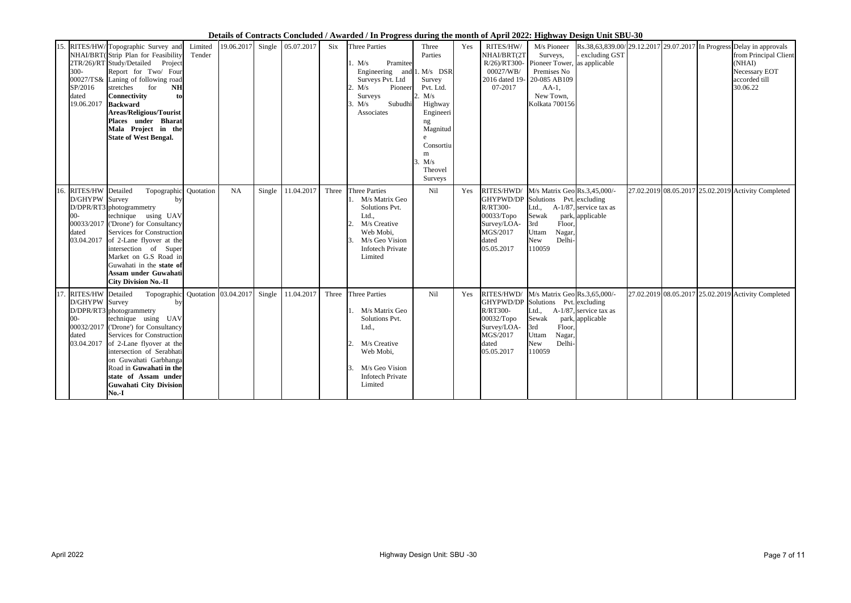| 15. | 300-<br>SP/2016<br>dated<br>19.06.2017                              | RITES/HW/Topographic Survey and<br>NHAI/BRT(Strip Plan for Feasibility<br>2TR/26)/RT Study/Detailed<br>Project<br>Report for Two/ Four<br>00027/TS& Laning of following road<br><b>NH</b><br>stretches<br>for<br><b>Connectivity</b><br>to<br><b>Backward</b><br><b>Areas/Religious/Tourist</b><br>Places under Bharat<br>Mala Project in the<br><b>State of West Bengal.</b> | Limited<br>Tender | 19.06.2017 | Single | 05.07.2017 | Six   | <b>Three Parties</b><br>Pramitee<br>1. M/s<br>Engineering and $1. M/s$ DSR<br>Surveys Pvt. Ltd<br>Pioneer<br>2. $M/s$<br>Surveys<br>Subudhi<br>3. M/s<br>Associates | Three<br>Parties<br>Survey<br>Pvt. Ltd.<br>2. M/s<br>Highway<br>Engineeri<br>ng<br>Magnitud<br>e<br>Consortiu<br>m<br>3. M/s<br>Theovel<br>Surveys | Yes | RITES/HW/<br>NHAI/BRT(2T<br>R/26)/RT300-<br>00027/WB/<br>2016 dated 19-<br>07-2017                  | M/s Pioneer<br>Surveys,<br>Pioneer Tower,<br>Premises No<br>20-085 AB109<br>$AA-1$ ,<br>New Town,<br>Kolkata 700156                                 | excluding GST<br>as applicable                | Rs.38,63,839.00/29.12.2017 29.07.2017 In Progress Delay in approvals | from Principal Client<br>(NHAI)<br>Necessary EOT<br>accorded till<br>30.06.22 |
|-----|---------------------------------------------------------------------|-------------------------------------------------------------------------------------------------------------------------------------------------------------------------------------------------------------------------------------------------------------------------------------------------------------------------------------------------------------------------------|-------------------|------------|--------|------------|-------|---------------------------------------------------------------------------------------------------------------------------------------------------------------------|----------------------------------------------------------------------------------------------------------------------------------------------------|-----|-----------------------------------------------------------------------------------------------------|-----------------------------------------------------------------------------------------------------------------------------------------------------|-----------------------------------------------|----------------------------------------------------------------------|-------------------------------------------------------------------------------|
|     | 16. RITES/HW<br>D/GHYPW<br>$00-$<br>dated<br>03.04.2017             | Topographic Quotation<br>Detailed<br>Survey<br>by<br>D/DPR/RT3 photogrammetry<br>technique using UAV<br>00033/2017 ('Drone') for Consultancy<br>Services for Construction<br>of 2-Lane flyover at the<br>intersection of Super<br>Market on G.S Road in<br>Guwahati in the state of<br>Assam under Guwahati<br><b>City Division No.-II</b>                                    |                   | <b>NA</b>  | Single | 11.04.2017 | Three | <b>Three Parties</b><br>M/s Matrix Geo<br>Solutions Pvt.<br>Ltd.,<br>M/s Creative<br>Web Mobi,<br>M/s Geo Vision<br><b>Infotech Private</b><br>Limited              | Nil                                                                                                                                                | Yes | RITES/HWD/<br>GHYPWD/DP<br>R/RT300-<br>00033/Topo<br>Survey/LOA-<br>MGS/2017<br>dated<br>05.05.2017 | M/s Matrix Geo Rs.3,45,000/-<br>Solutions Pvt. excluding<br>Ltd.,<br>Sewak<br>3rd<br>Floor,<br>Nagar,<br>Uttam<br><b>New</b><br>Delhi-<br>110059    | $A-1/87$ , service tax as<br>park, applicable | 27.02.2019 08.05.2017 25.02.2019 Activity Completed                  |                                                                               |
| 17. | RITES/HW Detailed<br>D/GHYPW Survey<br>$-00$<br>dated<br>03.04.2017 | Topographic Quotation 03.04.2017<br>by<br>D/DPR/RT3 photogrammetry<br>technique using UAV<br>00032/2017 ('Drone') for Consultancy<br>Services for Construction<br>of 2-Lane flyover at the<br>intersection of Serabhati<br>on Guwahati Garbhanga<br>Road in Guwahati in the<br>state of Assam under<br><b>Guwahati City Division</b><br>$No.-I$                               |                   |            | Single | 11.04.2017 | Three | <b>Three Parties</b><br>M/s Matrix Geo<br>Solutions Pvt.<br>Ltd.,<br>M/s Creative<br>Web Mobi,<br>M/s Geo Vision<br><b>Infotech Private</b><br>Limited              | Nil                                                                                                                                                | Yes | RITES/HWD/<br><b>R/RT300-</b><br>00032/Topo<br>Survey/LOA-<br>MGS/2017<br>dated<br>05.05.2017       | M/s Matrix Geo Rs.3,65,000/-<br>GHYPWD/DP Solutions Pvt. excluding<br>Ltd.,<br>Sewak<br>3rd<br>Floor,<br>Nagar,<br>Uttam<br>New<br>Delhi-<br>110059 | $A-1/87$ , service tax as<br>park, applicable | 27.02.2019 08.05.2017 25.02.2019 Activity Completed                  |                                                                               |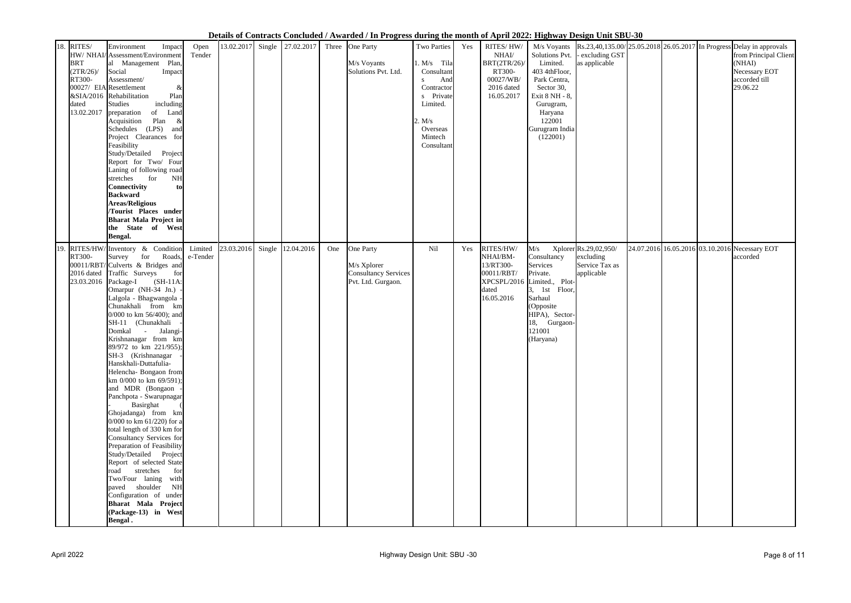|     |              |                                                  |          |            |                                           |     | Deans of Contracts Contracted Trade are There of the month of tripen 2022, $\frac{1}{1+\frac{1}{2}}$ besign ome bbc |               |     |              |                             |                                |  |                                                                                                                         |
|-----|--------------|--------------------------------------------------|----------|------------|-------------------------------------------|-----|---------------------------------------------------------------------------------------------------------------------|---------------|-----|--------------|-----------------------------|--------------------------------|--|-------------------------------------------------------------------------------------------------------------------------|
|     | 18. RITES/   | Environment<br>Impact                            | Open     | 13.02.2017 | Single $\vert$ 27.02.2017 Three One Party |     |                                                                                                                     | Two Parties   | Yes | RITES/HW/    |                             |                                |  | M/s Voyants $\left  \text{Rs.}23,40,135.00 \right  25.05.2018 \left  26.05.2017 \right $ In Progress Delay in approvals |
|     |              | HW/ NHAI/ Assessment/Environment                 | Tender   |            |                                           |     |                                                                                                                     |               |     | NHAI/        |                             | Solutions Pvt. - excluding GST |  | from Principal Client                                                                                                   |
|     | <b>BRT</b>   | al Management Plan,                              |          |            |                                           |     | M/s Voyants                                                                                                         | $1. M/s$ Tila |     | BRT(2TR/26)/ | Limited.                    | as applicable                  |  | (NHAI)                                                                                                                  |
|     | $(2TR/26)$ / | Social<br>Impact                                 |          |            |                                           |     | Solutions Pvt. Ltd.                                                                                                 | Consultant    |     | RT300-       | 403 4thFloor,               |                                |  | Necessary EOT                                                                                                           |
|     | RT300-       | Assessment/                                      |          |            |                                           |     |                                                                                                                     | And<br>S      |     | 00027/WB/    | Park Centra,                |                                |  | accorded till                                                                                                           |
|     |              | 00027/ EIA Resettlement<br>$\&$                  |          |            |                                           |     |                                                                                                                     | Contractor    |     | 2016 dated   | Sector 30,                  |                                |  | 29.06.22                                                                                                                |
|     |              | &SIA/2016 Rehabilitation<br>Plan                 |          |            |                                           |     |                                                                                                                     | s Private     |     | 16.05.2017   | Exit 8 NH - 8,              |                                |  |                                                                                                                         |
|     | dated        | including<br>Studies                             |          |            |                                           |     |                                                                                                                     | Limited.      |     |              | Gurugram,                   |                                |  |                                                                                                                         |
|     | 13.02.2017   | preparation<br>of Land                           |          |            |                                           |     |                                                                                                                     |               |     |              | Haryana                     |                                |  |                                                                                                                         |
|     |              | Plan<br>Acquisition<br>$\alpha$                  |          |            |                                           |     |                                                                                                                     | . $M/s$       |     |              | 122001                      |                                |  |                                                                                                                         |
|     |              | Schedules (LPS) and                              |          |            |                                           |     |                                                                                                                     | Overseas      |     |              | Gurugram India              |                                |  |                                                                                                                         |
|     |              | Project Clearances for                           |          |            |                                           |     |                                                                                                                     | Mintech       |     |              | (122001)                    |                                |  |                                                                                                                         |
|     |              | Feasibility                                      |          |            |                                           |     |                                                                                                                     | Consultant    |     |              |                             |                                |  |                                                                                                                         |
|     |              | Study/Detailed Project                           |          |            |                                           |     |                                                                                                                     |               |     |              |                             |                                |  |                                                                                                                         |
|     |              | Report for Two/ Four                             |          |            |                                           |     |                                                                                                                     |               |     |              |                             |                                |  |                                                                                                                         |
|     |              | Laning of following road<br>stretches for<br>NH  |          |            |                                           |     |                                                                                                                     |               |     |              |                             |                                |  |                                                                                                                         |
|     |              | <b>Connectivity</b><br>tol                       |          |            |                                           |     |                                                                                                                     |               |     |              |                             |                                |  |                                                                                                                         |
|     |              | <b>Backward</b>                                  |          |            |                                           |     |                                                                                                                     |               |     |              |                             |                                |  |                                                                                                                         |
|     |              | <b>Areas/Religious</b>                           |          |            |                                           |     |                                                                                                                     |               |     |              |                             |                                |  |                                                                                                                         |
|     |              | /Tourist Places under                            |          |            |                                           |     |                                                                                                                     |               |     |              |                             |                                |  |                                                                                                                         |
|     |              | <b>Bharat Mala Project in</b>                    |          |            |                                           |     |                                                                                                                     |               |     |              |                             |                                |  |                                                                                                                         |
|     |              | the State of West                                |          |            |                                           |     |                                                                                                                     |               |     |              |                             |                                |  |                                                                                                                         |
|     |              | Bengal.                                          |          |            |                                           |     |                                                                                                                     |               |     |              |                             |                                |  |                                                                                                                         |
|     |              |                                                  |          |            |                                           |     |                                                                                                                     |               |     |              |                             |                                |  |                                                                                                                         |
| 19. | RITES/HW/    | Inventory & Condition                            | Limited  | 23.03.2016 | Single 12.04.2016                         | One | One Party                                                                                                           | Nil           | Yes | RITES/HW/    | M/s                         | Xplorer Rs.29,02,950/          |  | 24.07.2016 16.05.2016 03.10.2016 Necessary EOT                                                                          |
|     | RT300-       | for<br>Roads,<br>Survey                          | e-Tender |            |                                           |     |                                                                                                                     |               |     | NHAI/BM-     | Consultancy                 | excluding                      |  | accorded                                                                                                                |
|     |              | 00011/RBT/Culverts & Bridges and                 |          |            |                                           |     | M/s Xplorer                                                                                                         |               |     | 13/RT300-    | Services                    | Service Tax as                 |  |                                                                                                                         |
|     | 2016 dated   | Traffic Surveys<br>for                           |          |            |                                           |     | <b>Consultancy Services</b>                                                                                         |               |     | 00011/RBT/   | Private.                    | applicable                     |  |                                                                                                                         |
|     | 23.03.2016   | $(SH-11A)$<br>Package-I                          |          |            |                                           |     | Pvt. Ltd. Gurgaon.                                                                                                  |               |     | dated        | XPCSPL/2016 Limited., Plot- |                                |  |                                                                                                                         |
|     |              | Omarpur (NH-34 Jn.) -<br>Lalgola - Bhagwangola - |          |            |                                           |     |                                                                                                                     |               |     | 16.05.2016   | 3, 1st Floor,<br>Sarhaul    |                                |  |                                                                                                                         |
|     |              | Chunakhali from km                               |          |            |                                           |     |                                                                                                                     |               |     |              | (Opposite                   |                                |  |                                                                                                                         |
|     |              | 0/000 to km 56/400); and                         |          |            |                                           |     |                                                                                                                     |               |     |              | HIPA), Sector-              |                                |  |                                                                                                                         |
|     |              | SH-11 (Chunakhali                                |          |            |                                           |     |                                                                                                                     |               |     |              | 18, Gurgaon-                |                                |  |                                                                                                                         |
|     |              | Domkal - Jalangi-                                |          |            |                                           |     |                                                                                                                     |               |     |              | 121001                      |                                |  |                                                                                                                         |
|     |              | Krishnanagar from km                             |          |            |                                           |     |                                                                                                                     |               |     |              | (Haryana)                   |                                |  |                                                                                                                         |
|     |              | 89/972 to km 221/955);                           |          |            |                                           |     |                                                                                                                     |               |     |              |                             |                                |  |                                                                                                                         |
|     |              | SH-3 (Krishnanagar -                             |          |            |                                           |     |                                                                                                                     |               |     |              |                             |                                |  |                                                                                                                         |
|     |              | Hanskhali-Duttafulia-                            |          |            |                                           |     |                                                                                                                     |               |     |              |                             |                                |  |                                                                                                                         |
|     |              | Helencha- Bongaon from                           |          |            |                                           |     |                                                                                                                     |               |     |              |                             |                                |  |                                                                                                                         |
|     |              | km 0/000 to km 69/591);                          |          |            |                                           |     |                                                                                                                     |               |     |              |                             |                                |  |                                                                                                                         |
|     |              | and MDR (Bongaon -                               |          |            |                                           |     |                                                                                                                     |               |     |              |                             |                                |  |                                                                                                                         |
|     |              | Panchpota - Swarupnagar                          |          |            |                                           |     |                                                                                                                     |               |     |              |                             |                                |  |                                                                                                                         |
|     |              | Basirghat                                        |          |            |                                           |     |                                                                                                                     |               |     |              |                             |                                |  |                                                                                                                         |
|     |              | Ghojadanga) from km                              |          |            |                                           |     |                                                                                                                     |               |     |              |                             |                                |  |                                                                                                                         |
|     |              | 0/000 to km $61/220$ ) for a                     |          |            |                                           |     |                                                                                                                     |               |     |              |                             |                                |  |                                                                                                                         |
|     |              | total length of 330 km for                       |          |            |                                           |     |                                                                                                                     |               |     |              |                             |                                |  |                                                                                                                         |
|     |              | Consultancy Services for                         |          |            |                                           |     |                                                                                                                     |               |     |              |                             |                                |  |                                                                                                                         |
|     |              | Preparation of Feasibility                       |          |            |                                           |     |                                                                                                                     |               |     |              |                             |                                |  |                                                                                                                         |
|     |              | Study/Detailed Project                           |          |            |                                           |     |                                                                                                                     |               |     |              |                             |                                |  |                                                                                                                         |
|     |              | Report of selected State                         |          |            |                                           |     |                                                                                                                     |               |     |              |                             |                                |  |                                                                                                                         |
|     |              | stretches<br>road<br>for                         |          |            |                                           |     |                                                                                                                     |               |     |              |                             |                                |  |                                                                                                                         |
|     |              | Two/Four laning with<br>paved shoulder<br>NH     |          |            |                                           |     |                                                                                                                     |               |     |              |                             |                                |  |                                                                                                                         |
|     |              | Configuration of under                           |          |            |                                           |     |                                                                                                                     |               |     |              |                             |                                |  |                                                                                                                         |
|     |              | Bharat Mala Project                              |          |            |                                           |     |                                                                                                                     |               |     |              |                             |                                |  |                                                                                                                         |
|     |              | (Package-13) in West                             |          |            |                                           |     |                                                                                                                     |               |     |              |                             |                                |  |                                                                                                                         |
|     |              | <b>Bengal.</b>                                   |          |            |                                           |     |                                                                                                                     |               |     |              |                             |                                |  |                                                                                                                         |
|     |              |                                                  |          |            |                                           |     |                                                                                                                     |               |     |              |                             |                                |  |                                                                                                                         |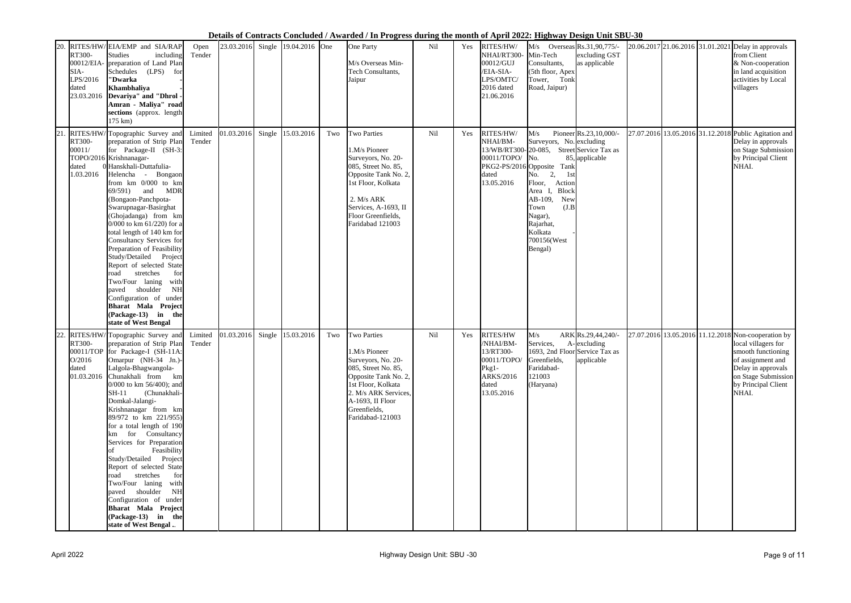| 20. | RT300-<br>SIA-<br>LPS/2016<br>dated<br>23.03.2016 | RITES/HW/EIA/EMP and SIA/RAP<br>Studies<br>including<br>00012/EIA- preparation of Land Plan<br>Schedules (LPS)<br>for<br>''Dwarka<br>Khambhaliya<br>Devariya" and "Dhrol -<br>Amran - Maliya" road<br>sections (approx. length<br>$175 \text{ km}$ )                                                                                                                                                                                                                                                                                                                                                                                                           | Open<br>Tender    | 23.03.2016 | Single 19.04.2016 One |     | One Party<br>M/s Overseas Min-<br>Tech Consultants,<br>Jaipur                                                                                                                                                  | Nil | Yes | RITES/HW/<br>NHAI/RT300<br>00012/GUJ<br>/EIA-SIA-<br>LPS/OMTC/<br>2016 dated<br>21.06.2016 | $M/s$ Overseas Rs.31,90,775/-<br>Min-Tech<br>Consultants,<br>(5th floor, Apex<br>Tower, Tonk<br>Road, Jaipur)                                                                                                                                                                        | excluding GST<br>as applicable                  |  | 20.06.2017 21.06.2016 31.01.2021 Delay in approvals<br>from Client<br>& Non-cooperation<br>in land acquisition<br>activities by Local<br>villagers                                                 |
|-----|---------------------------------------------------|----------------------------------------------------------------------------------------------------------------------------------------------------------------------------------------------------------------------------------------------------------------------------------------------------------------------------------------------------------------------------------------------------------------------------------------------------------------------------------------------------------------------------------------------------------------------------------------------------------------------------------------------------------------|-------------------|------------|-----------------------|-----|----------------------------------------------------------------------------------------------------------------------------------------------------------------------------------------------------------------|-----|-----|--------------------------------------------------------------------------------------------|--------------------------------------------------------------------------------------------------------------------------------------------------------------------------------------------------------------------------------------------------------------------------------------|-------------------------------------------------|--|----------------------------------------------------------------------------------------------------------------------------------------------------------------------------------------------------|
|     | RT300-<br>00011/<br>dated<br>1.03.2016            | RITES/HW/Topographic Survey and<br>preparation of Strip Plan<br>for Package-II (SH-3:<br>TOPO/2016 Krishnanagar-<br>0 Hanskhali-Duttafulia-<br>Helencha - Bongaon<br>from km 0/000 to km<br><b>MDR</b><br>69/591<br>and<br>(Bongaon-Panchpota-<br>Swarupnagar-Basirghat<br>(Ghojadanga) from km<br>0/000 to km 61/220) for a<br>total length of 140 km for<br>Consultancy Services for<br>Preparation of Feasibility<br>Study/Detailed Project<br>Report of selected State<br>stretches<br>for<br>road<br>Two/Four laning<br>with<br>shoulder<br>NH<br>paved<br>Configuration of under<br>Bharat Mala Project<br>$(Package-13)$ in the<br>state of West Bengal | Limited<br>Tender | 01.03.2016 | Single 15.03.2016     | Two | <b>Two Parties</b><br>1.M/s Pioneer<br>Surveyors, No. 20-<br>085, Street No. 85,<br>Opposite Tank No. 2,<br>1st Floor, Kolkata<br>2. M/s ARK<br>Services, A-1693, II<br>Floor Greenfields,<br>Faridabad 121003 | Nil | Yes | RITES/HW/<br>NHAI/BM-<br>00011/TOPO/<br>dated<br>13.05.2016                                | M/s<br>Surveyors, No. excluding<br>13/WB/RT300-20-085, Street Service Tax as<br>No.<br>PKG2-PS/2016 Opposite Tank<br>2,<br>1st<br>No.<br>Floor,<br>Action<br><b>Block</b><br>Area I,<br>AB-109,<br>New<br>(J.B)<br>Town<br>Nagar),<br>Rajarhat,<br>Kolkata<br>700156(West<br>Bengal) | Pioneer Rs.23,10,000/-<br>85, applicable        |  | 27.07.2016 13.05.2016 31.12.2018 Public Agitation and<br>Delay in approvals<br>on Stage Submission<br>by Principal Client<br>NHAI.                                                                 |
| 22. | RT300-<br>O/2016<br>dated                         | RITES/HW/ Topographic Survey and<br>preparation of Strip Plan<br>00011/TOP for Package-I (SH-11A:<br>Omarpur (NH-34 Jn.)-<br>Lalgola-Bhagwangola-<br>$01.03.2016$ Chunakhali from km<br>$0/000$ to km 56/400); and<br>(Chunakhali-<br>$SH-11$<br>Domkal-Jalangi-<br>Krishnanagar from km<br>89/972 to km 221/955)<br>for a total length of 190<br>km for Consultancy<br>Services for Preparation<br>Feasibility<br>Study/Detailed Project<br>Report of selected State<br>stretches<br>for<br>road<br>Two/Four laning with<br>paved shoulder<br>NH<br>Configuration of under<br>Bharat Mala Project<br>$(Package-13)$ in the<br>state of West Bengal            | Limited<br>Tender | 01.03.2016 | Single 15.03.2016     | Two | <b>Two Parties</b><br>1.M/s Pioneer<br>Surveyors, No. 20-<br>085, Street No. 85,<br>Opposite Tank No. 2,<br>1st Floor, Kolkata<br>2. M/s ARK Services,<br>A-1693, II Floor<br>Greenfields,<br>Faridabad-121003 | Nil | Yes | RITES/HW<br>/NHAI/BM-<br>13/RT300-<br>$Pkg1-$<br><b>ARKS/2016</b><br>dated<br>13.05.2016   | M/s<br>Services,<br>1693, 2nd Floor Service Tax as<br>$00011/TOPO/$ Greenfields,<br>Faridabad-<br>121003<br>(Haryana)                                                                                                                                                                | ARK Rs.29,44,240/-<br>A-excluding<br>applicable |  | 27.07.2016 13.05.2016 11.12.2018 Non-cooperation by<br>local villagers for<br>smooth functioning<br>of assignment and<br>Delay in approvals<br>on Stage Submission<br>by Principal Client<br>NHAI. |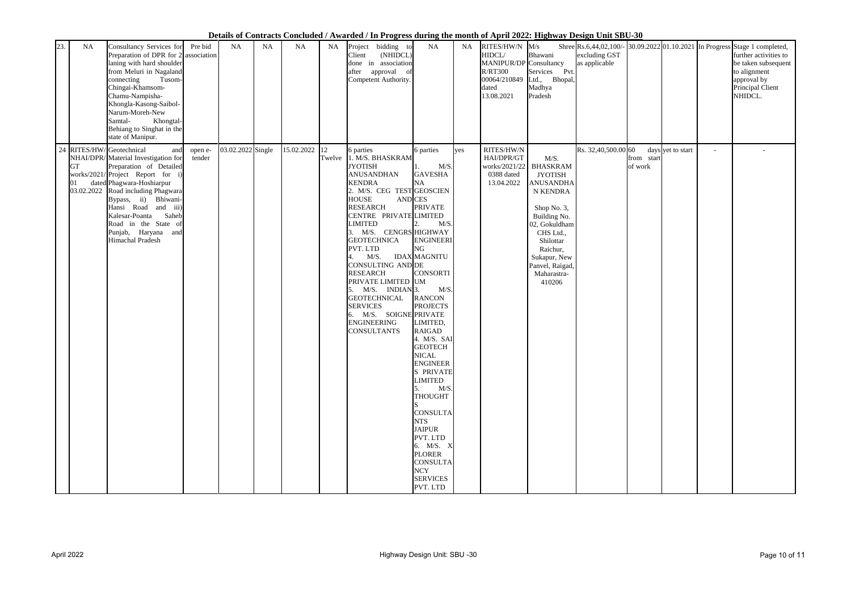| 23. | NA                            | Consultancy Services for<br>Preparation of DPR for $2$ association<br>laning with hard shoulder<br>from Meluri in Nagaland<br>connecting<br>Tusom-<br>Chingai-Khamsom-<br>Chamu-Nampisha-<br>Khongla-Kasong-Saibol-<br>Narum-Moreh-New<br>Samtal-<br>Khongtal-<br>Behiang to Singhat in the<br>state of Manipur.                             | Pre bid           | <b>NA</b>         | <b>NA</b> | <b>NA</b>  | <b>NA</b>    | Project<br>Client<br>after                                                                                                      | bidding to<br>(NHIDCL)<br>done in association<br>approval of<br>Competent Authority.                                                                                                                                                                                                                                                                          | NA                                                                                                                                                                                                                                                                                                                                                                                                                                                                                                               | <b>NA</b> | RITES/HW/N<br>HIDCL/<br>MANIPUR/DP Consultancy<br><b>R/RT300</b><br>00064/210849<br>dated<br>13.08.2021 | M/s<br>Bhawani<br>Services Pvt.<br>Bhopal,<br>Ltd.,<br>Madhya<br>Pradesh                                                                                                                                                           | excluding GST<br>as applicable |                       |                   | Shree Rs.6,44,02,100/- 30.09.2022 01.10.2021 In Progress Stage 1 completed,<br>further activities to<br>be taken subsequent  <br>to alignment<br>approval by<br>Principal Client<br>NHIDCL. |
|-----|-------------------------------|----------------------------------------------------------------------------------------------------------------------------------------------------------------------------------------------------------------------------------------------------------------------------------------------------------------------------------------------|-------------------|-------------------|-----------|------------|--------------|---------------------------------------------------------------------------------------------------------------------------------|---------------------------------------------------------------------------------------------------------------------------------------------------------------------------------------------------------------------------------------------------------------------------------------------------------------------------------------------------------------|------------------------------------------------------------------------------------------------------------------------------------------------------------------------------------------------------------------------------------------------------------------------------------------------------------------------------------------------------------------------------------------------------------------------------------------------------------------------------------------------------------------|-----------|---------------------------------------------------------------------------------------------------------|------------------------------------------------------------------------------------------------------------------------------------------------------------------------------------------------------------------------------------|--------------------------------|-----------------------|-------------------|---------------------------------------------------------------------------------------------------------------------------------------------------------------------------------------------|
|     | <b>GT</b><br>01<br>03.02.2022 | 24 RITES/HW/ Geotechnical<br>and<br>NHAI/DPR/ Material Investigation for<br>Preparation of Detailed<br>works/2021/Project Report for i)<br>dated Phagwara-Hoshiarpur<br>Road including Phagwara<br>Bypass, ii) Bhiwani-<br>Hansi Road and iii)<br>Kalesar-Poanta<br>Saheb<br>Road in the State of<br>Punjab, Haryana and<br>Himachal Pradesh | open e-<br>tender | 03.02.2022 Single |           | 15.02.2022 | 12<br>Twelve | 6 parties<br><b>JYOTISH</b><br><b>KENDRA</b><br><b>HOUSE</b><br>LIMITED<br>PVT. LTD<br>4.<br><b>RESEARCH</b><br><b>SERVICES</b> | 1. M/S. BHASKRAM<br><b>ANUSANDHAN</b><br>2. M/S. CEG TEST GEOSCIEN<br><b>AND CES</b><br><b>RESEARCH</b><br>CENTRE PRIVATE LIMITED<br>3. M/S. CENGRS HIGHWAY<br><b>GEOTECHNICA</b><br>M/S.<br><b>CONSULTING AND DE</b><br>PRIVATE LIMITED UM<br>5. M/S. INDIAN 3.<br><b>GEOTECHNICAL</b><br>6. M/S. SOIGNE PRIVATE<br><b>ENGINEERING</b><br><b>CONSULTANTS</b> | 6 parties<br>M/S.<br><b>GAVESHA</b><br><b>NA</b><br><b>PRIVATE</b><br>M/S.<br><b>ENGINEERI</b><br>NG<br><b>IDAX MAGNITU</b><br><b>CONSORTI</b><br>M/S.<br><b>RANCON</b><br><b>PROJECTS</b><br>LIMITED,<br><b>RAIGAD</b><br>4. M/S. SAI<br><b>GEOTECH</b><br><b>NICAL</b><br><b>ENGINEER</b><br>S PRIVATE<br><b>LIMITED</b><br>M/S.<br><b>THOUGHT</b><br><b>CONSULTA</b><br><b>NTS</b><br><b>JAIPUR</b><br>PVT. LTD<br>6. M/S. X<br><b>PLORER</b><br><b>CONSULTA</b><br><b>NCY</b><br><b>SERVICES</b><br>PVT. LTD | yes       | RITES/HW/N<br>HAI/DPR/GT<br>0388 dated<br>13.04.2022                                                    | M/S.<br>works/2021/22 BHASKRAM<br><b>JYOTISH</b><br><b>ANUSANDHA</b><br>N KENDRA<br>Shop No. 3,<br>Building No.<br>02, Gokuldham<br>CHS Ltd.,<br>Shilottar<br>Raichur,<br>Sukapur, New<br>Panvel, Raigad,<br>Maharastra-<br>410206 | Rs. 32,40,500.00 60            | from start<br>of work | days yet to start |                                                                                                                                                                                             |